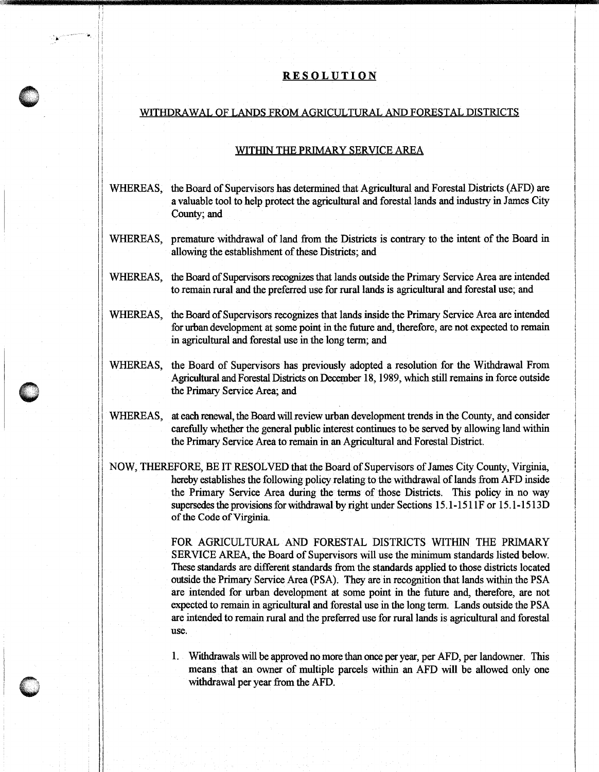## **RESOLUTION**

,我们的人们就会不会不会。""我们的人们,我们也不会不会不会不会不会不会不会不会不会不会不会不会不会不会。""我们的人们,我们也不会不会不会不会不会不会不会不会

.. • .

## WITHDRAWAL OF LANDS FROM AGRICULTURAL AND FORESTAL DISTRICTS

## WITHIN THE PRIMARY SERVICE AREA

- WHEREAS, the Board of Supervisors has determined that Agricultural and Forestal Districts (AFD) are a valuable tool to help protect the agricultural and forestal lands and industry in James City County; and
- WHEREAS, premature withdrawal of land from the Districts is contrary to the intent of the Board in allowing the establishment of these Districts; and
- WHEREAS, the Board of Supervisors recognizes that lands outside the Primary Service Area are intended to remain rural and the preferred use for rural lands is agricultural and forestal use; and
- WHEREAS, the Board of Supervisors recognizes that lands inside the Primary Service Area are intended for urban development at some point in the future and, therefore, are not expected to remain in agricultural and forestal use in the long term; and
- WHEREAS, the Board of Supervisors has previously adopted a resolution for the Withdrawal From Agricultural and Foresta! Districts on December 18, 1989, which still remains in force outside the Primary Service Area; and
- WHEREAS, at each renewal, the Board will review urban development trends in the County, and consider carefully whether the general public interest continues to be served by allowing land within the Primary Service Area to remain in an Agricultural and Forestal District.
- NOW, THEREFORE, BE IT RESOLVED that the Board of Supervisors of James City County, Virginia, hereby establishes the following policy relating to the withdrawal of lands from AFD inside the Primary Service Area during the terms of those Districts. This policy in no way supersedes the provisions for withdrawal by right under Sections 15.1-1511 F or 15.1-1513D of the Code of Virginia.

FOR AGRICULTURAL AND FORESTAL DISTRICTS WITHIN THE PRIMARY SERVICE AREA, the Board of Supervisors will use the minimum standards listed below. These standards are different standards from the standards applied to those districts located outside the Primary Service Area (PSA). They are in recognition that lands within the PSA are intended for urban development at some point in the future and, therefore, are not expected to remain in agricultural and forestal use in the long term. Lands outside the PSA are intended to remain rural and the preferred use for rural lands is agricultural and forestal use.

1. Withdrawals will be approved no more than once per year, per AFD, per landowner. This means that an owner of multiple parcels within an AFD will be allowed only one withdrawal per year from the AFD.